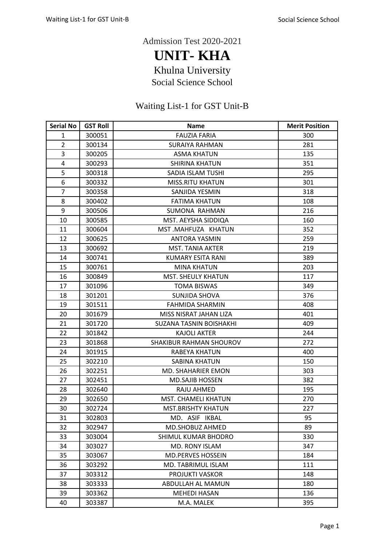Admission Test 2020-2021

**UNIT- KHA** Khulna University

Social Science School

## Waiting List-1 for GST Unit-B

| <b>Serial No</b> | <b>GST Roll</b> | <b>Name</b>                | <b>Merit Position</b> |
|------------------|-----------------|----------------------------|-----------------------|
| $\mathbf{1}$     | 300051          | <b>FAUZIA FARIA</b>        | 300                   |
| $\overline{2}$   | 300134          | <b>SURAIYA RAHMAN</b>      | 281                   |
| 3                | 300205          | <b>ASMA KHATUN</b>         | 135                   |
| 4                | 300293          | <b>SHIRINA KHATUN</b>      | 351                   |
| 5                | 300318          | SADIA ISLAM TUSHI          | 295                   |
| 6                | 300332          | <b>MISS.RITU KHATUN</b>    | 301                   |
| $\overline{7}$   | 300358          | SANJIDA YESMIN             | 318                   |
| 8                | 300402          | <b>FATIMA KHATUN</b>       | 108                   |
| 9                | 300506          | SUMONA RAHMAN              | 216                   |
| 10               | 300585          | MST. AEYSHA SIDDIQA        | 160                   |
| 11               | 300604          | MST.MAHFUZA KHATUN         | 352                   |
| 12               | 300625          | <b>ANTORA YASMIN</b>       | 259                   |
| 13               | 300692          | <b>MST. TANIA AKTER</b>    | 219                   |
| 14               | 300741          | KUMARY ESITA RANI          | 389                   |
| 15               | 300761          | <b>MINA KHATUN</b>         | 203                   |
| 16               | 300849          | <b>MST. SHEULY KHATUN</b>  | 117                   |
| 17               | 301096          | <b>TOMA BISWAS</b>         | 349                   |
| 18               | 301201          | <b>SUNJIDA SHOVA</b>       | 376                   |
| 19               | 301511          | <b>FAHMIDA SHARMIN</b>     | 408                   |
| 20               | 301679          | MISS NISRAT JAHAN LIZA     | 401                   |
| 21               | 301720          | SUZANA TASNIN BOISHAKHI    | 409                   |
| 22               | 301842          | <b>KAJOLI AKTER</b>        | 244                   |
| 23               | 301868          | SHAKIBUR RAHMAN SHOUROV    | 272                   |
| 24               | 301915          | RABEYA KHATUN              | 400                   |
| 25               | 302210          | <b>SABINA KHATUN</b>       | 150                   |
| 26               | 302251          | <b>MD. SHAHARIER EMON</b>  | 303                   |
| 27               | 302451          | <b>MD.SAJIB HOSSEN</b>     | 382                   |
| 28               | 302640          | RAJU AHMED                 | 195                   |
| 29               | 302650          | <b>MST. CHAMELI KHATUN</b> | 270                   |
| 30               | 302724          | <b>MST.BRISHTY KHATUN</b>  | 227                   |
| 31               | 302803          | MD. ASIF IKBAL             | 95                    |
| 32               | 302947          | MD.SHOBUZ AHMED            | 89                    |
| 33               | 303004          | SHIMUL KUMAR BHODRO        | 330                   |
| 34               | 303027          | MD. RONY ISLAM             | 347                   |
| 35               | 303067          | <b>MD.PERVES HOSSEIN</b>   | 184                   |
| 36               | 303292          | MD. TABRIMUL ISLAM         | 111                   |
| 37               | 303312          | <b>PROJUKTI VASKOR</b>     | 148                   |
| 38               | 303333          | ABDULLAH AL MAMUN          | 180                   |
| 39               | 303362          | <b>MEHEDI HASAN</b>        | 136                   |
| 40               | 303387          | M.A. MALEK                 | 395                   |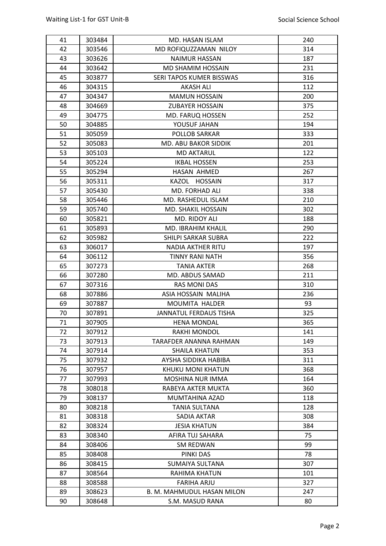| 41 | 303484 | MD. HASAN ISLAM               | 240 |
|----|--------|-------------------------------|-----|
| 42 | 303546 | MD ROFIQUZZAMAN NILOY         | 314 |
| 43 | 303626 | <b>NAIMUR HASSAN</b>          | 187 |
| 44 | 303642 | <b>MD SHAMIM HOSSAIN</b>      | 231 |
| 45 | 303877 | SERI TAPOS KUMER BISSWAS      | 316 |
| 46 | 304315 | <b>AKASH ALI</b>              | 112 |
| 47 | 304347 | <b>MAMUN HOSSAIN</b>          | 200 |
| 48 | 304669 | <b>ZUBAYER HOSSAIN</b>        | 375 |
| 49 | 304775 | MD. FARUQ HOSSEN              | 252 |
| 50 | 304885 | YOUSUF JAHAN                  | 194 |
| 51 | 305059 | <b>POLLOB SARKAR</b>          | 333 |
| 52 | 305083 | MD. ABU BAKOR SIDDIK          | 201 |
| 53 | 305103 | <b>MD AKTARUL</b>             | 122 |
| 54 | 305224 | <b>IKBAL HOSSEN</b>           | 253 |
| 55 | 305294 | HASAN AHMED                   | 267 |
| 56 | 305311 | KAZOL HOSSAIN                 | 317 |
| 57 | 305430 | MD. FORHAD ALI                | 338 |
| 58 | 305446 | MD. RASHEDUL ISLAM            | 210 |
| 59 | 305740 | <b>MD. SHAKIL HOSSAIN</b>     | 302 |
| 60 | 305821 | MD. RIDOY ALI                 | 188 |
| 61 | 305893 | MD. IBRAHIM KHALIL            | 290 |
| 62 | 305982 | SHILPI SARKAR SUBRA           | 222 |
| 63 | 306017 | <b>NADIA AKTHER RITU</b>      | 197 |
| 64 | 306112 | TINNY RANI NATH               | 356 |
| 65 | 307273 | <b>TANIA AKTER</b>            | 268 |
| 66 | 307280 | MD. ABDUS SAMAD               | 211 |
| 67 | 307316 | <b>RAS MONI DAS</b>           | 310 |
| 68 | 307886 | ASIA HOSSAIN MALIHA           | 236 |
| 69 | 307887 | <b>MOUMITA HALDER</b>         | 93  |
| 70 | 307891 | <b>JANNATUL FERDAUS TISHA</b> | 325 |
| 71 | 307905 | <b>HENA MONDAL</b>            | 365 |
| 72 | 307912 | <b>RAKHI MONDOL</b>           | 141 |
| 73 | 307913 | TARAFDER ANANNA RAHMAN        | 149 |
| 74 | 307914 | SHAILA KHATUN                 | 353 |
| 75 | 307932 | AYSHA SIDDIKA HABIBA          | 311 |
| 76 | 307957 | KHUKU MONI KHATUN             | 368 |
| 77 | 307993 | <b>MOSHINA NUR IMMA</b>       | 164 |
| 78 | 308018 | RABEYA AKTER MUKTA            | 360 |
| 79 | 308137 | MUMTAHINA AZAD                | 118 |
| 80 | 308218 | <b>TANIA SULTANA</b>          | 128 |
| 81 | 308318 | SADIA AKTAR                   | 308 |
| 82 | 308324 | <b>JESIA KHATUN</b>           | 384 |
| 83 | 308340 | AFIRA TUJ SAHARA              | 75  |
| 84 | 308406 | SM REDWAN                     | 99  |
| 85 | 308408 | PINKI DAS                     | 78  |
| 86 | 308415 | <b>SUMAIYA SULTANA</b>        | 307 |
| 87 | 308564 | RAHIMA KHATUN                 | 101 |
| 88 | 308588 | <b>FARIHA ARJU</b>            | 327 |
| 89 | 308623 | B. M. MAHMUDUL HASAN MILON    | 247 |
| 90 | 308648 | S.M. MASUD RANA               | 80  |
|    |        |                               |     |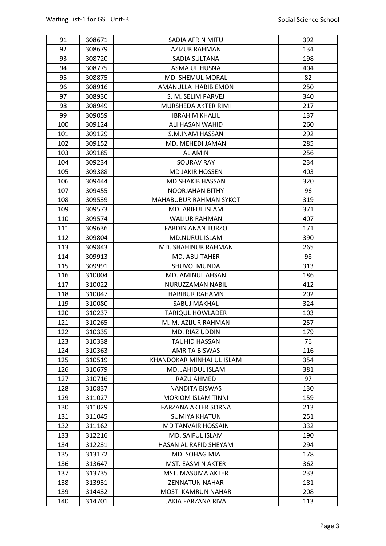| 91  | 308671 | SADIA AFRIN MITU              | 392 |
|-----|--------|-------------------------------|-----|
| 92  | 308679 | <b>AZIZUR RAHMAN</b>          | 134 |
| 93  | 308720 | SADIA SULTANA                 | 198 |
| 94  | 308775 | ASMA UL HUSNA                 | 404 |
| 95  | 308875 | <b>MD. SHEMUL MORAL</b>       | 82  |
| 96  | 308916 | AMANULLA HABIB EMON           | 250 |
| 97  | 308930 | S. M. SELIM PARVEJ            | 340 |
| 98  | 308949 | MURSHEDA AKTER RIMI           | 217 |
| 99  | 309059 | <b>IBRAHIM KHALIL</b>         | 137 |
| 100 | 309124 | ALI HASAN WAHID               | 260 |
| 101 | 309129 | S.M.INAM HASSAN               | 292 |
| 102 | 309152 | MD. MEHEDI JAMAN              | 285 |
| 103 | 309185 | AL AMIN                       | 256 |
| 104 | 309234 | <b>SOURAV RAY</b>             | 234 |
| 105 | 309388 | <b>MD JAKIR HOSSEN</b>        | 403 |
| 106 | 309444 | <b>MD SHAKIB HASSAN</b>       | 320 |
| 107 | 309455 | <b>NOORJAHAN BITHY</b>        | 96  |
| 108 | 309539 | <b>MAHABUBUR RAHMAN SYKOT</b> | 319 |
| 109 | 309573 | MD. ARIFUL ISLAM              | 371 |
| 110 | 309574 | <b>WALIUR RAHMAN</b>          | 407 |
| 111 | 309636 | <b>FARDIN ANAN TURZO</b>      | 171 |
| 112 | 309804 | <b>MD.NURUL ISLAM</b>         | 390 |
| 113 | 309843 | MD. SHAHINUR RAHMAN           | 265 |
| 114 | 309913 | MD. ABU TAHER                 | 98  |
| 115 | 309991 | SHUVO MUNDA                   | 313 |
| 116 | 310004 | MD. AMINUL AHSAN              | 186 |
| 117 | 310022 | NURUZZAMAN NABIL              | 412 |
| 118 | 310047 | <b>HABIBUR RAHAMN</b>         | 202 |
| 119 | 310080 | SABUJ MAKHAL                  | 324 |
| 120 | 310237 | <b>TARIQUL HOWLADER</b>       | 103 |
| 121 | 310265 | M. M. AZIJUR RAHMAN           | 257 |
| 122 | 310335 | MD. RIAZ UDDIN                | 179 |
| 123 | 310338 | <b>TAUHID HASSAN</b>          | 76  |
| 124 | 310363 | <b>AMRITA BISWAS</b>          | 116 |
| 125 | 310519 | KHANDOKAR MINHAJ UL ISLAM     | 354 |
| 126 | 310679 | MD. JAHIDUL ISLAM             | 381 |
| 127 | 310716 | RAZU AHMED                    | 97  |
| 128 | 310837 | NANDITA BISWAS                | 130 |
| 129 | 311027 | <b>MORIOM ISLAM TINNI</b>     | 159 |
| 130 | 311029 | FARZANA AKTER SORNA           | 213 |
| 131 | 311045 | <b>SUMIYA KHATUN</b>          | 251 |
| 132 | 311162 | MD TANVAIR HOSSAIN            | 332 |
| 133 | 312216 | MD. SAIFUL ISLAM              | 190 |
| 134 | 312231 | HASAN AL RAFID SHEYAM         | 294 |
| 135 | 313172 | MD. SOHAG MIA                 | 178 |
| 136 | 313647 | MST. EASMIN AKTER             | 362 |
| 137 | 313735 | MST. MASUMA AKTER             | 233 |
| 138 | 313931 | <b>ZENNATUN NAHAR</b>         | 181 |
| 139 | 314432 | <b>MOST. KAMRUN NAHAR</b>     | 208 |
| 140 | 314701 | JAKIA FARZANA RIVA            | 113 |
|     |        |                               |     |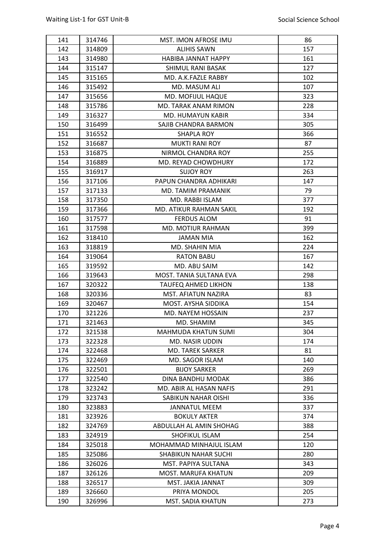| 141        | 314746           | MST. IMON AFROSE IMU                     | 86  |
|------------|------------------|------------------------------------------|-----|
| 142        | 314809           | <b>ALIHIS SAWN</b>                       | 157 |
| 143        | 314980           | <b>HABIBA JANNAT HAPPY</b>               | 161 |
| 144        | 315147           | SHIMUL RANI BASAK                        | 127 |
| 145        | 315165           | MD. A.K.FAZLE RABBY                      | 102 |
| 146        | 315492           | MD. MASUM ALI                            | 107 |
| 147        | 315656           | MD. MOFIJUL HAQUE                        | 323 |
| 148        | 315786           | MD. TARAK ANAM RIMON                     | 228 |
| 149        | 316327           | <b>MD. HUMAYUN KABIR</b>                 | 334 |
| 150        | 316499           | SAJIB CHANDRA BARMON                     | 305 |
| 151        | 316552           | SHAPLA ROY                               | 366 |
| 152        | 316687           | <b>MUKTI RANI ROY</b>                    | 87  |
| 153        | 316875           | NIRMOL CHANDRA ROY                       | 255 |
| 154        | 316889           | MD. REYAD CHOWDHURY                      | 172 |
| 155        | 316917           | <b>SUJOY ROY</b>                         | 263 |
| 156        | 317106           | PAPUN CHANDRA ADHIKARI                   | 147 |
| 157        | 317133           | MD. TAMIM PRAMANIK                       | 79  |
| 158        | 317350           | MD. RABBI ISLAM                          | 377 |
| 159        | 317366           | MD. ATIKUR RAHMAN SAKIL                  | 192 |
| 160        | 317577           | <b>FERDUS ALOM</b>                       | 91  |
| 161        | 317598           | MD. MOTIUR RAHMAN                        | 399 |
| 162        | 318410           | <b>JAMAN MIA</b>                         | 162 |
| 163        | 318819           | MD. SHAHIN MIA                           | 224 |
| 164        | 319064           | <b>RATON BABU</b>                        | 167 |
| 165        | 319592           | MD. ABU SAIM                             | 142 |
| 166        | 319643           | MOST. TANIA SULTANA EVA                  | 298 |
| 167        | 320322           | <b>TAUFEQ AHMED LIKHON</b>               | 138 |
| 168        | 320336           | MST. AFIATUN NAZIRA                      | 83  |
| 169        | 320467           | MOST. AYSHA SIDDIKA                      | 154 |
| 170        | 321226           | MD. NAYEM HOSSAIN                        | 237 |
| 171        | 321463           | MD. SHAMIM                               | 345 |
| 172        | 321538           | <b>MAHMUDA KHATUN SUMI</b>               | 304 |
| 173        | 322328           | MD. NASIR UDDIN                          | 174 |
| 174        | 322468           | MD. TAREK SARKER                         | 81  |
| 175        | 322469           | MD. SAGOR ISLAM                          | 140 |
| 176        | 322501           | <b>BIJOY SARKER</b>                      | 269 |
| 177        | 322540           | DINA BANDHU MODAK                        | 386 |
| 178        | 323242           | MD. ABIR AL HASAN NAFIS                  | 291 |
| 179        | 323743           | SABIKUN NAHAR OISHI                      | 336 |
| 180        | 323883           | <b>JANNATUL MEEM</b>                     | 337 |
| 181        | 323926           | <b>BOKULY AKTER</b>                      | 374 |
| 182        | 324769           | ABDULLAH AL AMIN SHOHAG                  | 388 |
| 183        |                  | SHOFIKUL ISLAM                           | 254 |
| 184        | 324919<br>325018 | MOHAMMAD MINHAJUL ISLAM                  | 120 |
| 185        | 325086           | <b>SHABIKUN NAHAR SUCHI</b>              | 280 |
|            |                  |                                          |     |
| 186<br>187 | 326026           | MST. PAPIYA SULTANA                      | 343 |
| 188        | 326126           | MOST. MARUFA KHATUN<br>MST. JAKIA JANNAT | 209 |
|            | 326517           |                                          | 309 |
| 189        | 326660           | PRIYA MONDOL                             | 205 |
| 190        | 326996           | MST. SADIA KHATUN                        | 273 |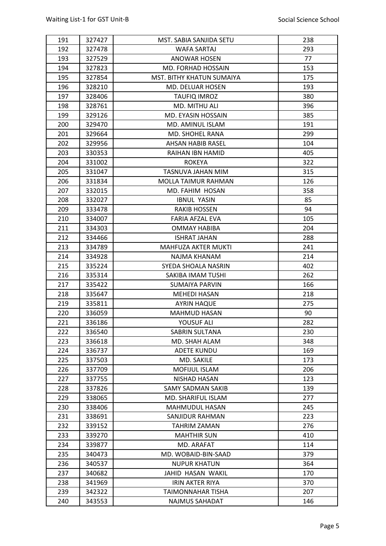| 191 | 327427 | MST. SABIA SANJIDA SETU    | 238 |
|-----|--------|----------------------------|-----|
| 192 | 327478 | WAFA SARTAJ                | 293 |
| 193 | 327529 | <b>ANOWAR HOSEN</b>        | 77  |
| 194 | 327823 | MD. FORHAD HOSSAIN         | 153 |
| 195 | 327854 | MST. BITHY KHATUN SUMAIYA  | 175 |
| 196 | 328210 | MD. DELUAR HOSEN           | 193 |
| 197 | 328406 | <b>TAUFIQ IMROZ</b>        | 380 |
| 198 | 328761 | MD. MITHU ALI              | 396 |
| 199 | 329126 | MD. EYASIN HOSSAIN         | 385 |
| 200 | 329470 | MD. AMINUL ISLAM           | 191 |
| 201 | 329664 | MD. SHOHEL RANA            | 299 |
| 202 | 329956 | <b>AHSAN HABIB RASEL</b>   | 104 |
| 203 | 330353 | RAIHAN IBN HAMID           | 405 |
| 204 | 331002 | <b>ROKEYA</b>              | 322 |
| 205 | 331047 | TASNUVA JAHAN MIM          | 315 |
| 206 | 331834 | <b>MOLLA TAIMUR RAHMAN</b> | 126 |
| 207 | 332015 | MD. FAHIM HOSAN            | 358 |
| 208 | 332027 | <b>IBNUL YASIN</b>         | 85  |
| 209 | 333478 | <b>RAKIB HOSSEN</b>        | 94  |
| 210 | 334007 | FARIA AFZAL EVA            | 105 |
| 211 | 334303 | <b>OMMAY HABIBA</b>        | 204 |
| 212 | 334466 | <b>ISHRAT JAHAN</b>        | 288 |
| 213 | 334789 | <b>MAHFUZA AKTER MUKTI</b> | 241 |
| 214 | 334928 | NAJMA KHANAM               | 214 |
| 215 | 335224 | SYEDA SHOALA NASRIN        | 402 |
| 216 | 335314 | SAKIBA IMAM TUSHI          | 262 |
| 217 | 335422 | SUMAIYA PARVIN             | 166 |
| 218 | 335647 | <b>MEHEDI HASAN</b>        | 218 |
| 219 | 335811 | <b>AYRIN HAQUE</b>         | 275 |
| 220 | 336059 | <b>MAHMUD HASAN</b>        | 90  |
| 221 | 336186 | YOUSUF ALI                 | 282 |
| 222 | 336540 | SABRIN SULTANA             | 230 |
| 223 | 336618 | MD. SHAH ALAM              | 348 |
| 224 | 336737 | <b>ADETE KUNDU</b>         | 169 |
| 225 | 337503 | MD. SAKILE                 | 173 |
| 226 | 337709 | <b>MOFIJUL ISLAM</b>       | 206 |
| 227 | 337755 | NISHAD HASAN               | 123 |
| 228 | 337826 | <b>SAMY SADMAN SAKIB</b>   | 139 |
| 229 | 338065 | MD. SHARIFUL ISLAM         | 277 |
| 230 | 338406 | <b>MAHMUDUL HASAN</b>      | 245 |
| 231 | 338691 | SANJIDUR RAHMAN            | 223 |
| 232 | 339152 | TAHRIM ZAMAN               | 276 |
| 233 | 339270 | <b>MAHTHIR SUN</b>         | 410 |
| 234 | 339877 | MD. ARAFAT                 | 114 |
| 235 | 340473 | MD. WOBAID-BIN-SAAD        | 379 |
| 236 | 340537 | <b>NUPUR KHATUN</b>        | 364 |
| 237 | 340682 | JAHID HASAN WAKIL          | 170 |
| 238 | 341969 | <b>IRIN AKTER RIYA</b>     | 370 |
| 239 | 342322 | <b>TAIMONNAHAR TISHA</b>   | 207 |
| 240 | 343553 | NAJMUS SAHADAT             | 146 |
|     |        |                            |     |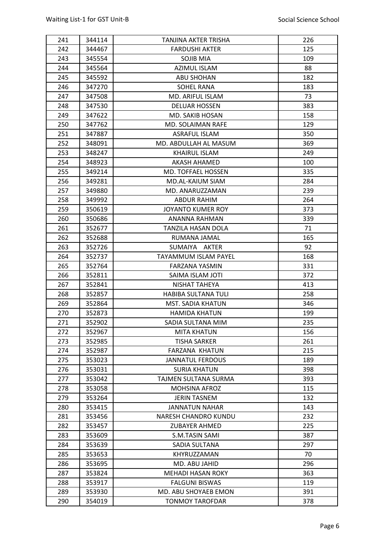| 241 | 344114           | TANJINA AKTER TRISHA            | 226 |
|-----|------------------|---------------------------------|-----|
| 242 | 344467           | <b>FARDUSHI AKTER</b>           | 125 |
| 243 | 345554           | SOJIB MIA                       | 109 |
| 244 | 345564           | <b>AZIMUL ISLAM</b>             | 88  |
| 245 | 345592           | ABU SHOHAN                      | 182 |
| 246 | 347270           | SOHEL RANA                      | 183 |
| 247 | 347508           | MD. ARIFUL ISLAM                | 73  |
| 248 | 347530           | <b>DELUAR HOSSEN</b>            | 383 |
| 249 | 347622           | <b>MD. SAKIB HOSAN</b>          | 158 |
| 250 | 347762           | MD. SOLAIMAN RAFE               | 129 |
| 251 | 347887           | ASRAFUL ISLAM                   | 350 |
| 252 | 348091           | MD. ABDULLAH AL MASUM           | 369 |
| 253 | 348247           | <b>KHAIRUL ISLAM</b>            | 249 |
| 254 | 348923           | AKASH AHAMED                    | 100 |
| 255 | 349214           | MD. TOFFAEL HOSSEN              | 335 |
| 256 | 349281           | <b>MD.AL-KAIUM SIAM</b>         | 284 |
| 257 | 349880           | MD. ANARUZZAMAN                 | 239 |
| 258 | 349992           | <b>ABDUR RAHIM</b>              | 264 |
| 259 | 350619           | <b>JOYANTO KUMER ROY</b>        | 373 |
| 260 | 350686           | ANANNA RAHMAN                   | 339 |
| 261 | 352677           | <b>TANZILA HASAN DOLA</b>       | 71  |
| 262 | 352688           | RUMANA JAMAL                    | 165 |
| 263 | 352726           | SUMAIYA AKTER                   | 92  |
| 264 | 352737           | <b>TAYAMMUM ISLAM PAYEL</b>     | 168 |
| 265 | 352764           | FARZANA YASMIN                  | 331 |
| 266 | 352811           | SAIMA ISLAM JOTI                | 372 |
| 267 | 352841           | NISHAT TAHEYA                   | 413 |
| 268 | 352857           | <b>HABIBA SULTANA TULI</b>      | 258 |
| 269 | 352864           | <b>MST. SADIA KHATUN</b>        | 346 |
| 270 | 352873           | <b>HAMIDA KHATUN</b>            | 199 |
| 271 | 352902           | SADIA SULTANA MIM               | 235 |
| 272 | 352967           | <b>MITA KHATUN</b>              | 156 |
| 273 | 352985           | <b>TISHA SARKER</b>             | 261 |
| 274 | 352987           | <b>FARZANA KHATUN</b>           | 215 |
| 275 | 353023           | <b>JANNATUL FERDOUS</b>         | 189 |
| 276 | 353031           | <b>SURIA KHATUN</b>             | 398 |
| 277 | 353042           | TAJMEN SULTANA SURMA            | 393 |
| 278 | 353058           | MOHSINA AFROZ                   | 115 |
| 279 | 353264           | <b>JERIN TASNEM</b>             | 132 |
| 280 | 353415           | <b>JANNATUN NAHAR</b>           | 143 |
| 281 | 353456           | <b>NARESH CHANDRO KUNDU</b>     | 232 |
| 282 |                  | <b>ZUBAYER AHMED</b>            | 225 |
| 283 | 353457           |                                 | 387 |
| 284 | 353609<br>353639 | S.M.TASIN SAMI<br>SADIA SULTANA | 297 |
| 285 | 353653           | KHYRUZZAMAN                     | 70  |
|     |                  |                                 |     |
| 286 | 353695           | MD. ABU JAHID                   | 296 |
| 287 | 353824           | <b>MEHADI HASAN ROKY</b>        | 363 |
| 288 | 353917           | <b>FALGUNI BISWAS</b>           | 119 |
| 289 | 353930           | MD. ABU SHOYAEB EMON            | 391 |
| 290 | 354019           | <b>TONMOY TAROFDAR</b>          | 378 |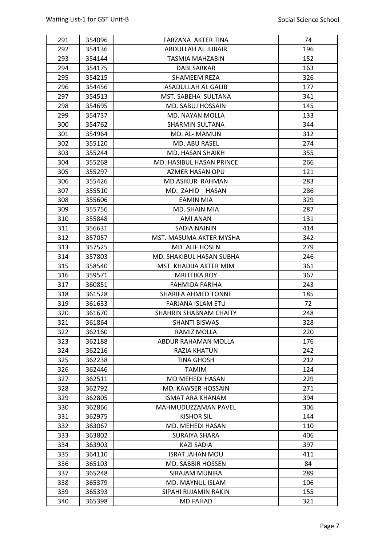| 291        | 354096 | FARZANA AKTER TINA                         | 74  |
|------------|--------|--------------------------------------------|-----|
| 292        | 354136 | ABDULLAH AL JUBAIR                         | 196 |
| 293        | 354144 | TASMIA MAHZABIN                            | 152 |
| 294        | 354175 | DABI SARKAR                                | 163 |
| 295        | 354215 | SHAMEEM REZA                               | 326 |
| 296        | 354456 | ASADULLAH AL GALIB                         | 177 |
| 297        | 354513 | MST. SABEHA SULTANA                        | 341 |
| 298        | 354695 | MD. SABUJ HOSSAIN                          | 145 |
| 299        | 354737 | MD. NAYAN MOLLA                            | 133 |
| 300        | 354762 | <b>SHARMIN SULTANA</b>                     | 344 |
| 301        | 354964 | MD. AL- MAMUN                              | 312 |
| 302        | 355120 | MD. ABU RASEL                              | 274 |
| 303        | 355244 | MD. HASAN SHAIKH                           | 355 |
| 304        | 355268 | MD. HASIBUL HASAN PRINCE                   | 266 |
| 305        | 355297 | <b>AZMER HASAN OPU</b>                     | 121 |
| 306        | 355426 | MD ASIKUR RAHMAN                           | 283 |
| 307        | 355510 | MD. ZAHID<br>HASAN                         | 286 |
| 308        | 355606 | <b>EAMIN MIA</b>                           | 329 |
| 309        | 355756 | MD. SHAIN MIA                              | 287 |
| 310        | 355848 | AMI ANAN                                   | 131 |
| 311        | 356631 | <b>SADIA NAJNIN</b>                        | 414 |
| 312        | 357057 | MST. MASUMA AKTER MYSHA                    | 342 |
| 313        | 357525 | MD. ALIF HOSEN                             | 279 |
| 314        | 357803 | MD. SHAKIBUL HASAN SUBHA                   | 246 |
| 315        | 358540 | MST. KHADIJA AKTER MIM                     | 361 |
| 316        | 359571 | <b>MRITTIKA ROY</b>                        | 367 |
| 317        | 360851 | FAHMIDA FARIHA                             | 243 |
| 318        | 361528 | <b>SHARIFA AHMED TONNE</b>                 | 185 |
| 319        | 361633 | FARJANA ISLAM ETU                          | 72  |
| 320        | 361670 | SHAHRIN SHABNAM CHAITY                     | 248 |
| 321        | 361864 | <b>SHANTI BISWAS</b>                       | 328 |
| 322        | 362160 | RAMIZ MOLLA                                | 220 |
| 323        | 362188 | ABDUR RAHAMAN MOLLA                        | 176 |
| 324        | 362216 | RAZIA KHATUN                               | 242 |
| 325        | 362238 | TINA GHOSH                                 | 212 |
| 326        | 362446 | <b>TAMIM</b>                               | 124 |
| 327        | 362511 | MD MEHEDI HASAN                            | 229 |
| 328        | 362792 | MD. KAWSER HOSSAIN                         | 271 |
| 329        | 362805 | <b>ISMAT ARA KHANAM</b>                    | 394 |
| 330        | 362866 | MAHMUDUZZAMAN PAVEL                        | 306 |
| 331        | 362975 | KISHOR SIL                                 | 144 |
| 332        | 363067 | MD. MEHEDI HASAN                           | 110 |
| 333        | 363802 | SURAIYA SHARA                              | 406 |
| 334        | 363903 | KAZI SADIA                                 | 397 |
| 335        | 364110 | <b>ISRAT JAHAN MOU</b>                     | 411 |
|            |        |                                            | 84  |
| 336        | 365103 | MD. SABBIR HOSSEN<br><b>SIRAJAM MUNIRA</b> | 289 |
| 337<br>338 | 365248 | MD. MAYNUL ISLAM                           |     |
|            | 365379 | SIPAHI RIJJAMIN RAKIN                      | 106 |
| 339        | 365393 |                                            | 155 |
| 340        | 365398 | MD.FAHAD                                   | 321 |